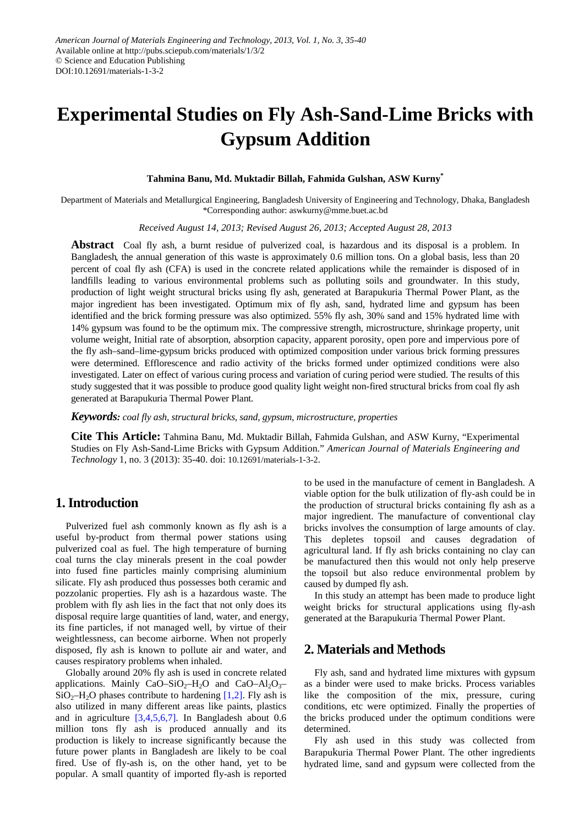# **Experimental Studies on Fly Ash-Sand-Lime Bricks with Gypsum Addition**

## **Tahmina Banu, Md. Muktadir Billah, Fahmida Gulshan, ASW Kurny\***

Department of Materials and Metallurgical Engineering, Bangladesh University of Engineering and Technology, Dhaka, Bangladesh \*Corresponding author: aswkurny@mme.buet.ac.bd

*Received August 14, 2013; Revised August 26, 2013; Accepted August 28, 2013*

**Abstract** Coal fly ash, a burnt residue of pulverized coal, is hazardous and its disposal is a problem. In Bangladesh, the annual generation of this waste is approximately 0.6 million tons. On a global basis, less than 20 percent of coal fly ash (CFA) is used in the concrete related applications while the remainder is disposed of in landfills leading to various environmental problems such as polluting soils and groundwater. In this study, production of light weight structural bricks using fly ash, generated at Barapukuria Thermal Power Plant, as the major ingredient has been investigated. Optimum mix of fly ash, sand, hydrated lime and gypsum has been identified and the brick forming pressure was also optimized. 55% fly ash, 30% sand and 15% hydrated lime with 14% gypsum was found to be the optimum mix. The compressive strength, microstructure, shrinkage property, unit volume weight, Initial rate of absorption, absorption capacity, apparent porosity, open pore and impervious pore of the fly ash–sand–lime-gypsum bricks produced with optimized composition under various brick forming pressures were determined. Efflorescence and radio activity of the bricks formed under optimized conditions were also investigated. Later on effect of various curing process and variation of curing period were studied. The results of this study suggested that it was possible to produce good quality light weight non-fired structural bricks from coal fly ash generated at Barapukuria Thermal Power Plant.

*Keywords: coal fly ash, structural bricks, sand, gypsum, microstructure, properties*

**Cite This Article:** Tahmina Banu, Md. Muktadir Billah, Fahmida Gulshan, and ASW Kurny, "Experimental Studies on Fly Ash-Sand-Lime Bricks with Gypsum Addition." *American Journal of Materials Engineering and Technology* 1, no. 3 (2013): 35-40. doi: 10.12691/materials-1-3-2.

# **1. Introduction**

Pulverized fuel ash commonly known as fly ash is a useful by-product from thermal power stations using pulverized coal as fuel. The high temperature of burning coal turns the clay minerals present in the coal powder into fused fine particles mainly comprising aluminium silicate. Fly ash produced thus possesses both ceramic and pozzolanic properties. Fly ash is a hazardous waste. The problem with fly ash lies in the fact that not only does its disposal require large quantities of land, water, and energy, its fine particles, if not managed well, by virtue of their weightlessness, can become airborne. When not properly disposed, fly ash is known to pollute air and water, and causes respiratory problems when inhaled.

Globally around 20% fly ash is used in concrete related applications. Mainly CaO–SiO<sub>2</sub>–H<sub>2</sub>O and CaO–Al<sub>2</sub>O<sub>3</sub>–  $SiO<sub>2</sub>–H<sub>2</sub>O$  phases contribute to hardening [\[1,2\].](#page-5-0) Fly ash is also utilized in many different areas like paints, plastics and in agriculture [\[3,4,5,6,7\].](#page-5-1) In Bangladesh about 0.6 million tons fly ash is produced annually and its production is likely to increase significantly because the future power plants in Bangladesh are likely to be coal fired. Use of fly-ash is, on the other hand, yet to be popular. A small quantity of imported fly-ash is reported

to be used in the manufacture of cement in Bangladesh. A viable option for the bulk utilization of fly-ash could be in the production of structural bricks containing fly ash as a major ingredient. The manufacture of conventional clay bricks involves the consumption of large amounts of clay. This depletes topsoil and causes degradation of agricultural land. If fly ash bricks containing no clay can be manufactured then this would not only help preserve the topsoil but also reduce environmental problem by caused by dumped fly ash.

In this study an attempt has been made to produce light weight bricks for structural applications using fly-ash generated at the Barapukuria Thermal Power Plant.

# **2. Materials and Methods**

Fly ash, sand and hydrated lime mixtures with gypsum as a binder were used to make bricks. Process variables like the composition of the mix, pressure, curing conditions, etc were optimized. Finally the properties of the bricks produced under the optimum conditions were determined.

Fly ash used in this study was collected from Barapukuria Thermal Power Plant. The other ingredients hydrated lime, sand and gypsum were collected from the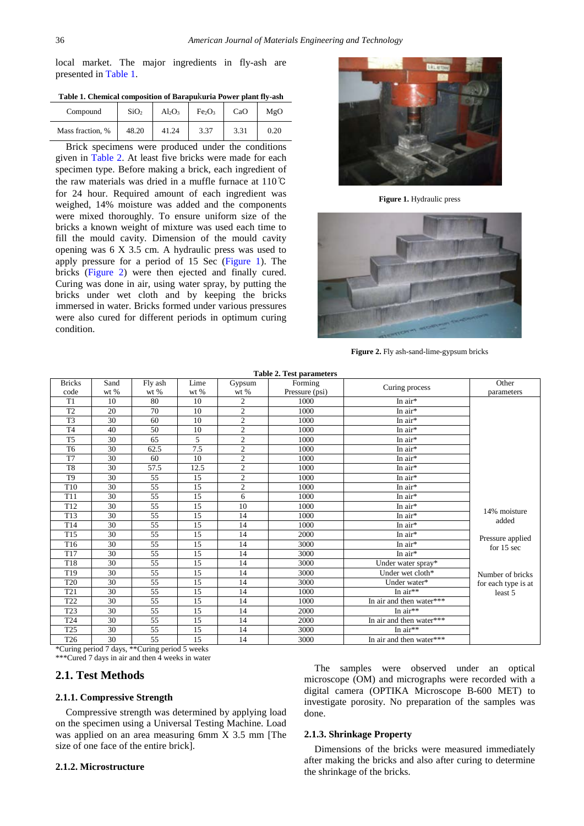local market. The major ingredients in fly-ash are presented in [Table 1.](#page-1-0)

<span id="page-1-0"></span>

| Tabit 1. Chthntai toinboshton of Darabuxuria Fower blant ny-asir |                  |       |                                |      |      |  |  |  |  |
|------------------------------------------------------------------|------------------|-------|--------------------------------|------|------|--|--|--|--|
| Compound                                                         | SiO <sub>2</sub> | Al2O2 | Fe <sub>2</sub> O <sub>3</sub> | CaO  | MgO  |  |  |  |  |
| Mass fraction, %                                                 | 48.20            | 41.24 | 3.37                           | 3.31 | 0.20 |  |  |  |  |

**Table 1. Chemical composition of Barapu**k**uria Power plant fly-ash**

Brick specimens were produced under the conditions given in [Table 2.](#page-1-1) At least five bricks were made for each specimen type. Before making a brick, each ingredient of the raw materials was dried in a muffle furnace at 110℃ for 24 hour. Required amount of each ingredient was weighed, 14% moisture was added and the components were mixed thoroughly. To ensure uniform size of the bricks a known weight of mixture was used each time to fill the mould cavity. Dimension of the mould cavity opening was 6 X 3.5 cm. A hydraulic press was used to apply pressure for a period of 15 Sec [\(Figure 1\)](#page-1-2). The bricks [\(Figure 2\)](#page-1-3) were then ejected and finally cured. Curing was done in air, using water spray, by putting the bricks under wet cloth and by keeping the bricks immersed in water. Bricks formed under various pressures were also cured for different periods in optimum curing condition.

<span id="page-1-2"></span>

**Figure 1.** Hydraulic press

<span id="page-1-3"></span>

**Figure 2.** Fly ash-sand-lime-gypsum bricks

<span id="page-1-1"></span>

| <b>Table 2. Test parameters</b> |                |                 |                |                |                           |                          |                     |  |  |  |
|---------------------------------|----------------|-----------------|----------------|----------------|---------------------------|--------------------------|---------------------|--|--|--|
| <b>Bricks</b><br>code           | Sand<br>$wt$ % | Fly ash<br>wt % | Lime<br>$wt$ % | Gypsum<br>wt % | Forming<br>Pressure (psi) | Curing process           | Other<br>parameters |  |  |  |
| T <sub>1</sub>                  | 10             | 80              | 10             | $\overline{c}$ | 1000                      | In $air*$                |                     |  |  |  |
| T <sub>2</sub>                  | 20             | 70              | 10             | $\mathfrak{2}$ | 1000                      | In air*                  |                     |  |  |  |
| T3                              | 30             | 60              | 10             | $\overline{c}$ | 1000                      | In air*                  |                     |  |  |  |
| T <sub>4</sub>                  | 40             | 50              | 10             | $\mathfrak{2}$ | 1000                      | In air*                  |                     |  |  |  |
| T <sub>5</sub>                  | 30             | 65              | 5              | $\overline{c}$ | 1000                      | In air*                  |                     |  |  |  |
| T <sub>6</sub>                  | 30             | 62.5            | 7.5            | $\overline{c}$ | 1000                      | In $air*$                |                     |  |  |  |
| T7                              | 30             | 60              | 10             | $\mathfrak{2}$ | 1000                      | In air*                  |                     |  |  |  |
| T <sub>8</sub>                  | 30             | 57.5            | 12.5           | $\overline{c}$ | 1000                      | In air*                  |                     |  |  |  |
| T <sub>9</sub>                  | 30             | 55              | 15             | $\mathfrak{2}$ | 1000                      | In air*                  |                     |  |  |  |
| T <sub>10</sub>                 | 30             | 55              | 15             | $\overline{c}$ | 1000                      | In air*                  |                     |  |  |  |
| T <sub>11</sub>                 | 30             | 55              | 15             | 6              | 1000                      | In $air*$                |                     |  |  |  |
| T <sub>12</sub>                 | 30             | 55              | 15             | 10             | 1000                      | In air*                  | 14% moisture        |  |  |  |
| T13                             | 30             | 55              | 15             | 14             | 1000                      | In air*                  | added               |  |  |  |
| T <sub>14</sub>                 | 30             | 55              | 15             | 14             | 1000                      | In air*                  |                     |  |  |  |
| T15                             | 30             | $\overline{55}$ | 15             | 14             | 2000                      | In air*                  | Pressure applied    |  |  |  |
| T <sub>16</sub>                 | 30             | 55              | 15             | 14             | 3000                      | In $air*$                | for $15$ sec        |  |  |  |
| T <sub>17</sub>                 | 30             | 55              | 15             | 14             | 3000                      | In air*                  |                     |  |  |  |
| T18                             | 30             | 55              | 15             | 14             | 3000                      | Under water spray*       |                     |  |  |  |
| T <sub>19</sub>                 | 30             | 55              | 15             | 14             | 3000                      | Under wet cloth*         | Number of bricks    |  |  |  |
| <b>T20</b>                      | 30             | 55              | 15             | 14             | 3000                      | Under water*             | for each type is at |  |  |  |
| T21                             | 30             | 55              | 15             | 14             | 1000                      | In $air**$               | least 5             |  |  |  |
| T <sub>22</sub>                 | 30             | 55              | 15             | 14             | 1000                      | In air and then water*** |                     |  |  |  |
| T <sub>23</sub>                 | 30             | 55              | 15             | 14             | 2000                      | In $air**$               |                     |  |  |  |
| T <sub>24</sub>                 | 30             | 55              | 15             | 14             | 2000                      | In air and then water*** |                     |  |  |  |
| T <sub>25</sub>                 | 30             | 55              | 15             | 14             | 3000                      | In $air**$               |                     |  |  |  |
| T <sub>26</sub>                 | 30             | 55              | 15             | 14             | 3000                      | In air and then water*** |                     |  |  |  |

\*Curing period 7 days, \*\*Curing period 5 weeks

\*\*\*Cured 7 days in air and then 4 weeks in water

## **2.1. Test Methods**

#### **2.1.1. Compressive Strength**

Compressive strength was determined by applying load on the specimen using a Universal Testing Machine. Load was applied on an area measuring 6mm X 3.5 mm [The size of one face of the entire brick].

#### **2.1.2. Microstructure**

The samples were observed under an optical microscope (OM) and micrographs were recorded with a digital camera (OPTIKA Microscope B-600 MET) to investigate porosity. No preparation of the samples was done.

#### **2.1.3. Shrinkage Property**

Dimensions of the bricks were measured immediately after making the bricks and also after curing to determine the shrinkage of the bricks.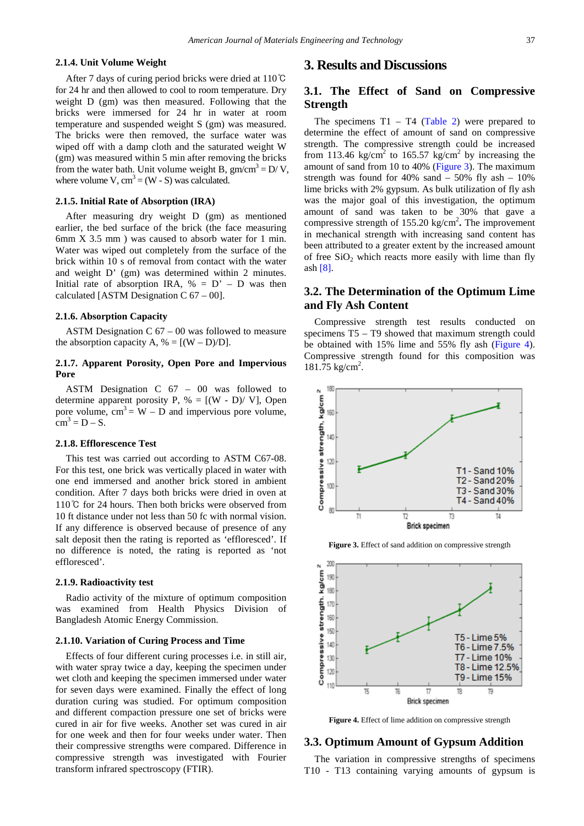## **2.1.4. Unit Volume Weight**

After 7 days of curing period bricks were dried at 110℃ for 24 hr and then allowed to cool to room temperature. Dry weight D (gm) was then measured. Following that the bricks were immersed for 24 hr in water at room temperature and suspended weight S (gm) was measured. The bricks were then removed, the surface water was wiped off with a damp cloth and the saturated weight W (gm) was measured within 5 min after removing the bricks from the water bath. Unit volume weight B,  $gm/cm^3 = D/V$ , where volume V,  $cm<sup>3</sup> = (W - S)$  was calculated.

#### **2.1.5. Initial Rate of Absorption (IRA)**

After measuring dry weight D (gm) as mentioned earlier, the bed surface of the brick (the face measuring 6mm X 3.5 mm ) was caused to absorb water for 1 min. Water was wiped out completely from the surface of the brick within 10 s of removal from contact with the water and weight D' (gm) was determined within 2 minutes. Initial rate of absorption IRA,  $\% = D' - D$  was then calculated [ASTM Designation C  $67 - 00$ ].

#### **2.1.6. Absorption Capacity**

ASTM Designation  $C$  67 – 00 was followed to measure the absorption capacity A,  $\% = [(W - D)/D]$ .

## **2.1.7. Apparent Porosity, Open Pore and Impervious Pore**

ASTM Designation C 67 – 00 was followed to determine apparent porosity P,  $% = [(W - D) / V]$ , Open pore volume,  $cm<sup>3</sup> = W - D$  and impervious pore volume,  $cm<sup>3</sup> = D - S$ .

## **2.1.8. Efflorescence Test**

This test was carried out according to ASTM C67-08. For this test, one brick was vertically placed in water with one end immersed and another brick stored in ambient condition. After 7 days both bricks were dried in oven at 110℃ for 24 hours. Then both bricks were observed from 10 ft distance under not less than 50 fc with normal vision. If any difference is observed because of presence of any salt deposit then the rating is reported as 'effloresced'. If no difference is noted, the rating is reported as 'not effloresced'.

#### **2.1.9. Radioactivity test**

Radio activity of the mixture of optimum composition was examined from Health Physics Division of Bangladesh Atomic Energy Commission.

#### **2.1.10. Variation of Curing Process and Time**

Effects of four different curing processes i.e. in still air, with water spray twice a day, keeping the specimen under wet cloth and keeping the specimen immersed under water for seven days were examined. Finally the effect of long duration curing was studied. For optimum composition and different compaction pressure one set of bricks were cured in air for five weeks. Another set was cured in air for one week and then for four weeks under water. Then their compressive strengths were compared. Difference in compressive strength was investigated with Fourier transform infrared spectroscopy (FTIR).

## **3. Results and Discussions**

# **3.1. The Effect of Sand on Compressive Strength**

The specimens  $T1 - T4$  [\(Table 2\)](#page-1-1) were prepared to determine the effect of amount of sand on compressive strength. The compressive strength could be increased from 113.46 kg/cm<sup>2</sup> to 165.57 kg/cm<sup>2</sup> by increasing the amount of sand from 10 to 40% [\(Figure 3\)](#page-2-0). The maximum strength was found for 40% sand  $-50\%$  fly ash  $-10\%$ lime bricks with 2% gypsum. As bulk utilization of fly ash was the major goal of this investigation, the optimum amount of sand was taken to be 30% that gave a compressive strength of 155.20 kg/cm<sup>2</sup>. The improvement in mechanical strength with increasing sand content has been attributed to a greater extent by the increased amount of free  $SiO<sub>2</sub>$  which reacts more easily with lime than fly ash [\[8\].](#page-5-2)

## **3.2. The Determination of the Optimum Lime and Fly Ash Content**

Compressive strength test results conducted on specimens T5 – T9 showed that maximum strength could be obtained with 15% lime and 55% fly ash [\(Figure 4\)](#page-2-1). Compressive strength found for this composition was 181.75 kg/cm<sup>2</sup>.

<span id="page-2-0"></span>

**Figure 3.** Effect of sand addition on compressive strength

<span id="page-2-1"></span>

**Figure 4.** Effect of lime addition on compressive strength

## **3.3. Optimum Amount of Gypsum Addition**

The variation in compressive strengths of specimens T10 - T13 containing varying amounts of gypsum is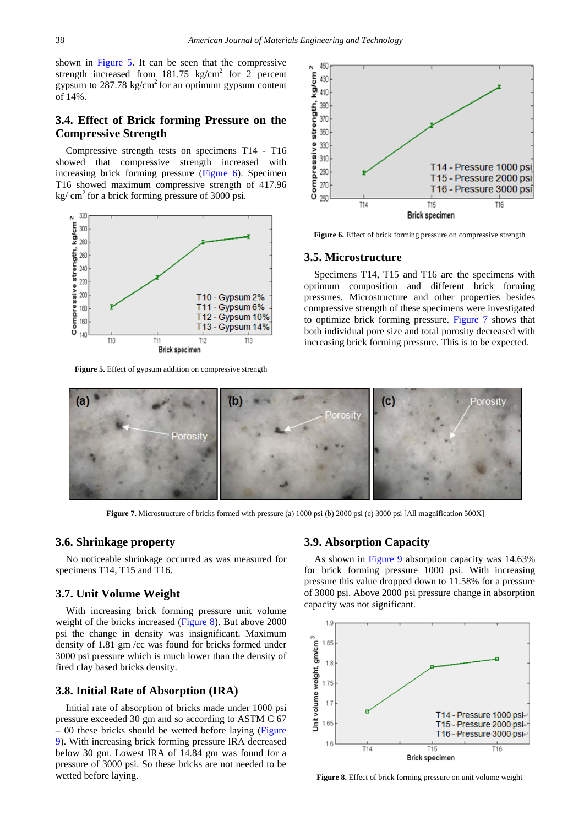shown in [Figure 5.](#page-3-0) It can be seen that the compressive strength increased from  $181.75 \text{ kg/cm}^2$  for 2 percent gypsum to  $287.78 \text{ kg/cm}^2$  for an optimum gypsum content of 14%.

## **3.4. Effect of Brick forming Pressure on the Compressive Strength**

Compressive strength tests on specimens T14 - T16 showed that compressive strength increased with increasing brick forming pressure [\(Figure 6\)](#page-3-1). Specimen T16 showed maximum compressive strength of 417.96 kg/  $cm<sup>2</sup>$  for a brick forming pressure of 3000 psi.

<span id="page-3-0"></span>

**Figure 5.** Effect of gypsum addition on compressive strength

<span id="page-3-1"></span>

**Figure 6.** Effect of brick forming pressure on compressive strength

#### **3.5. Microstructure**

Specimens T14, T15 and T16 are the specimens with optimum composition and different brick forming pressures. Microstructure and other properties besides compressive strength of these specimens were investigated to optimize brick forming pressure. [Figure 7](#page-3-2) shows that both individual pore size and total porosity decreased with increasing brick forming pressure. This is to be expected.

<span id="page-3-2"></span>

**Figure 7.** Microstructure of bricks formed with pressure (a) 1000 psi (b) 2000 psi (c) 3000 psi [All magnification 500X]

## **3.6. Shrinkage property**

No noticeable shrinkage occurred as was measured for specimens T14, T15 and T16.

#### **3.7. Unit Volume Weight**

With increasing brick forming pressure unit volume weight of the bricks increased [\(Figure 8\)](#page-3-3). But above 2000 psi the change in density was insignificant. Maximum density of 1.81 gm /cc was found for bricks formed under 3000 psi pressure which is much lower than the density of fired clay based bricks density.

## **3.8. Initial Rate of Absorption (IRA)**

Initial rate of absorption of bricks made under 1000 psi pressure exceeded 30 gm and so according to ASTM C 67 – 00 these bricks should be wetted before laying [\(Figure](#page-4-0)  [9\)](#page-4-0). With increasing brick forming pressure IRA decreased below 30 gm. Lowest IRA of 14.84 gm was found for a pressure of 3000 psi. So these bricks are not needed to be wetted before laying.

#### **3.9. Absorption Capacity**

As shown in [Figure 9](#page-4-0) absorption capacity was 14.63% for brick forming pressure 1000 psi. With increasing pressure this value dropped down to 11.58% for a pressure of 3000 psi. Above 2000 psi pressure change in absorption capacity was not significant.

<span id="page-3-3"></span>

**Figure 8.** Effect of brick forming pressure on unit volume weight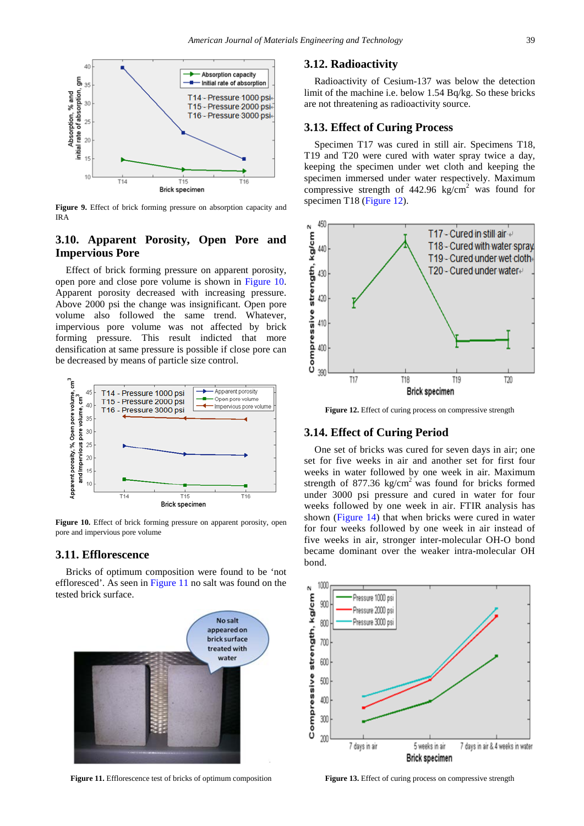<span id="page-4-0"></span>

**Figure 9.** Effect of brick forming pressure on absorption capacity and IRA

# **3.10. Apparent Porosity, Open Pore and Impervious Pore**

Effect of brick forming pressure on apparent porosity, open pore and close pore volume is shown in [Figure 10.](#page-4-1) Apparent porosity decreased with increasing pressure. Above 2000 psi the change was insignificant. Open pore volume also followed the same trend. Whatever, impervious pore volume was not affected by brick forming pressure. This result indicted that more densification at same pressure is possible if close pore can be decreased by means of particle size control.

<span id="page-4-1"></span>

**Figure 10.** Effect of brick forming pressure on apparent porosity, open pore and impervious pore volume

## **3.11. Efflorescence**

Bricks of optimum composition were found to be 'not effloresced'. As seen i[n Figure 11](#page-4-2) no salt was found on the tested brick surface.

<span id="page-4-2"></span>

**Figure 11.** Efflorescence test of bricks of optimum composition

## **3.12. Radioactivity**

Radioactivity of Cesium-137 was below the detection limit of the machine i.e. below 1.54 Bq/kg. So these bricks are not threatening as radioactivity source.

## **3.13. Effect of Curing Process**

Specimen T17 was cured in still air. Specimens T18, T19 and T20 were cured with water spray twice a day, keeping the specimen under wet cloth and keeping the specimen immersed under water respectively. Maximum compressive strength of  $442.96 \text{ kg/cm}^2$  was found for specimen T18 [\(Figure 12\)](#page-4-3).

<span id="page-4-3"></span>

**Figure 12.** Effect of curing process on compressive strength

## **3.14. Effect of Curing Period**

One set of bricks was cured for seven days in air; one set for five weeks in air and another set for first four weeks in water followed by one week in air. Maximum strength of  $877.36 \text{ kg/cm}^2$  was found for bricks formed under 3000 psi pressure and cured in water for four weeks followed by one week in air. FTIR analysis has shown [\(Figure 14\)](#page-5-3) that when bricks were cured in water for four weeks followed by one week in air instead of five weeks in air, stronger inter-molecular OH-O bond became dominant over the weaker intra-molecular OH bond.



Figure 13. Effect of curing process on compressive strength